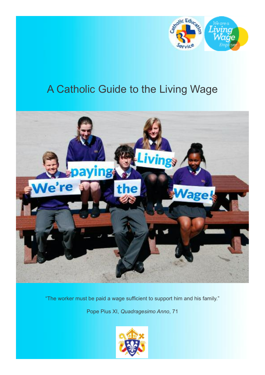

# A Catholic Guide to the Living Wage



"The worker must be paid a wage sufficient to support him and his family."

Pope Pius XI, *Quadragesimo Anno*, 71

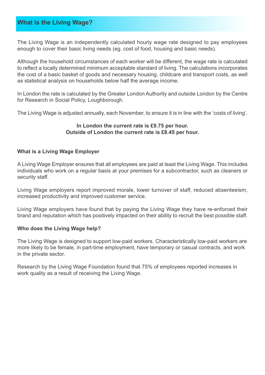# **What is the Living Wage?**

The Living Wage is an independently calculated hourly wage rate designed to pay employees enough to cover their basic living needs (eg. cost of food, housing and basic needs).

Although the household circumstances of each worker will be different, the wage rate is calculated to reflect a locally determined minimum acceptable standard of living. The calculations incorporates the cost of a basic basket of goods and necessary housing, childcare and transport costs, as well as statistical analysis on households below half the average income.

In London the rate is calculated by the Greater London Authority and outside London by the Centre for Research in Social Policy, Loughborough.

The Living Wage is adjusted annually, each November, to ensure it is in line with the 'costs of living'.

#### **In London the current rate is £9.75 per hour. Outside of London the current rate is £8.45 per hour.**

#### **What is a Living Wage Employer**

A Living Wage Employer ensures that all employees are paid at least the Living Wage. This includes individuals who work on a regular basis at your premises for a subcontractor, such as cleaners or security staff.

Living Wage employers report improved morale, lower turnover of staff, reduced absenteeism, increased productivity and improved customer service.

Living Wage employers have found that by paying the Living Wage they have re-enforced their brand and reputation which has positively impacted on their ability to recruit the best possible staff.

#### **Who does the Living Wage help?**

The Living Wage is designed to support low-paid workers. Characteristically low-paid workers are more likely to be female, in part-time employment, have temporary or casual contracts, and work in the private sector.

Research by the Living Wage Foundation found that 75% of employees reported increases in work quality as a result of receiving the Living Wage.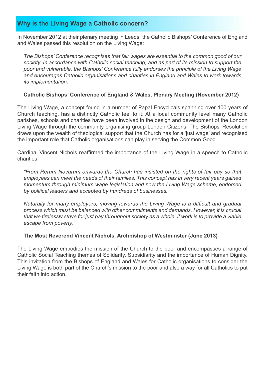# **Why is the Living Wage a Catholic concern?**

In November 2012 at their plenary meeting in Leeds, the Catholic Bishops' Conference of England and Wales passed this resolution on the Living Wage:

*The Bishops' Conference recognises that fair wages are essential to the common good of our society. In accordance with Catholic social teaching, and as part of its mission to support the poor and vulnerable, the Bishops' Conference fully endorses the principle of the Living Wage and encourages Catholic organisations and charities in England and Wales to work towards its implementation.*

## **Catholic Bishops' Conference of England & Wales, Plenary Meeting (November 2012)**

The Living Wage, a concept found in a number of Papal Encyclicals spanning over 100 years of Church teaching, has a distinctly Catholic feel to it. At a local community level many Catholic parishes, schools and charities have been involved in the design and development of the London Living Wage through the community organising group London Citizens. The Bishops' Resolution draws upon the wealth of theological support that the Church has for a 'just wage' and recognised the important role that Catholic organisations can play in serving the Common Good.

Cardinal Vincent Nichols reaffirmed the importance of the Living Wage in a speech to Catholic charities.

*"From Rerum Novarum onwards the Church has insisted on the rights of fair pay so that employees can meet the needs of their families. This concept has in very recent years gained momentum through minimum wage legislation and now the Living Wage scheme, endorsed by political leaders and accepted by hundreds of businesses.*

*Naturally for many employers, moving towards the Living Wage is a difficult and gradual process which must be balanced with other commitments and demands. However, it is crucial* that we tirelessly strive for just pay throughout society as a whole, if work is to provide a viable *escape from poverty."*

## **The Most Reverend Vincent Nichols, Archbishop of Westminster (June 2013)**

The Living Wage embodies the mission of the Church to the poor and encompasses a range of Catholic Social Teaching themes of Solidarity, Subsidiarity and the importance of Human Dignity. This invitation from the Bishops of England and Wales for Catholic organisations to consider the Living Wage is both part of the Church's mission to the poor and also a way for all Catholics to put their faith into action.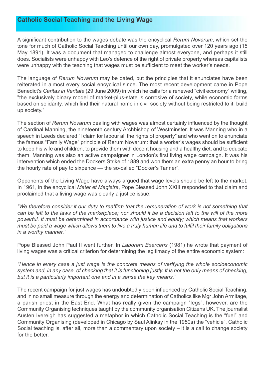## **Catholic Social Teaching and the Living Wage**

A significant contribution to the wages debate was the encyclical *Rerum Novarum*, which set the tone for much of Catholic Social Teaching until our own day, promulgated over 120 years ago (15 May 1891). It was a document that managed to challenge almost everyone, and perhaps it still does. Socialists were unhappy with Leo's defence of the right of private property whereas capitalists were unhappy with the teaching that wages must be sufficient to meet the worker's needs.

The language of *Rerum Novarum* may be dated, but the principles that it enunciates have been reiterated in almost every social encyclical since. The most recent development came in Pope Benedict's *Caritas in Veritate* (29 June 2009) in which he calls for a renewed "civil economy" writing, "the exclusively binary model of market-plus-state is corrosive of society, while economic forms based on solidarity, which find their natural home in civil society without being restricted to it, build up society."

The section of *Rerum Novarum* dealing with wages was almost certainly influenced by the thought of Cardinal Manning, the nineteenth century Archbishop of Westminster. It was Manning who in a speech in Leeds declared "I claim for labour all the rights of property" and who went on to enunciate the famous "Family Wage" principle of Rerum Novarum: that a worker's wages should be sufficient to keep his wife and children, to provide them with decent housing and a healthy diet, and to educate them. Manning was also an active campaigner in London's first living wage campaign. It was his intervention which ended the Dockers Strike of 1889 and won them an extra penny an hour to bring the hourly rate of pay to sixpence — the so-called "Docker's Tanner".

Opponents of the Living Wage have always argued that wage levels should be left to the market. In 1961, in the encyclical *Mater et Magistra*, Pope Blessed John XXIII responded to that claim and proclaimed that a living wage was clearly a justice issue:

*"We therefore consider it our duty to reaffirm that the remuneration of work is not something that* can be left to the laws of the marketplace; nor should it be a decision left to the will of the more *powerful. It must be determined in accordance with justice and equity; which means that workers* must be paid a wage which allows them to live a truly human life and to fulfil their family obligations *in a worthy manner."*

Pope Blessed John Paul II went further. In *Laborem Exercens* (1981) he wrote that payment of living wages was a critical criterion for determining the legitimacy of the entire economic system:

*"Hence in every case a just wage is the concrete means of verifying the whole socioeconomic* system and, in any case, of checking that it is functioning justly. It is not the only means of checking, *but it is a particularly important one and in a sense the key means."*

The recent campaign for just wages has undoubtedly been influenced by Catholic Social Teaching, and in no small measure through the energy and determination of Catholics like Mgr John Armitage, a parish priest in the East End. What has really given the campaign "legs", however, are the Community Organising techniques taught by the community organisation Citizens UK. The journalist Austen Ivereigh has suggested a metaphor in which Catholic Social Teaching is the "fuel" and Community Organising (developed in Chicago by Saul Alinksy in the 1950s) the "vehicle". Catholic Social teaching is, after all, more than a commentary upon society – it is a call to change society for the better.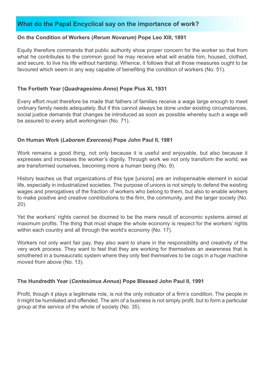# **What do the Papal Encyclical say on the importance of work?**

### **On the Condition of Workers (***Rerum Novarum***) Pope Leo XIII, 1891**

Equity therefore commands that public authority show proper concern for the worker so that from what he contributes to the common good he may receive what will enable him, housed, clothed, and secure, to live his life without hardship. Whence, it follows that all those measures ought to be favoured which seem in any way capable of benefiting the condition of workers (No. 51).

## **The Fortieth Year (***Quadragesimo Anno***) Pope Pius XI, 1931**

Every effort must therefore be made that fathers of families receive a wage large enough to meet ordinary family needs adequately. But if this cannot always be done under existing circumstances, social justice demands that changes be introduced as soon as possible whereby such a wage will be assured to every adult workingman (No. 71).

## **On Human Work (***Laborem Exercens***) Pope John Paul II, 1981**

Work remains a good thing, not only because it is useful and enjoyable, but also because it expresses and increases the worker's dignity. Through work we not only transform the world, we are transformed ourselves, becoming more a human being (No. 9).

History teaches us that organizations of this type [unions] are an indispensable element in social life, especially in industrialized societies. The purpose of unions is not simply to defend the existing wages and prerogatives of the fraction of workers who belong to them, but also to enable workers to make positive and creative contributions to the firm, the community, and the larger society (No. 20).

Yet the workers' rights cannot be doomed to be the mere result of economic systems aimed at maximum profits. The thing that must shape the whole economy is respect for the workers' rights within each country and all through the world's economy (No. 17).

Workers not only want fair pay, they also want to share in the responsibility and creativity of the very work process. They want to feel that they are working for themselves an awareness that is smothered in a bureaucratic system where they only feel themselves to be cogs in a huge machine moved from above (No. 13).

## **The Hundredth Year (***Centesimus Annus***) Pope Blessed John Paul II, 1991**

Profit, though it plays a legitimate role, is not the only indicator of a firm's condition. The people in it might be humiliated and offended. The aim of a business is not simply profit, but to form a particular group at the service of the whole of society (No. 35).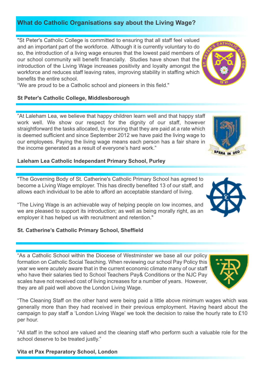# **What do Catholic Organisations say about the Living Wage?**

"St Peter's Catholic College is committed to ensuring that all staff feel valued and an important part of the workforce. Although it is currently voluntary to do so, the introduction of a living wage ensures that the lowest paid members of our school community will benefit financially. Studies have shown that the introduction of the Living Wage increases positivity and loyalty amongst the workforce and reduces staff leaving rates, improving stability in staffing which benefits the entire school.

"We are proud to be a Catholic school and pioneers in this field."

## **St Peter's Catholic College, Middlesborough**

"At Laleham Lea, we believe that happy children learn well and that happy staff work well. We show our respect for the dignity of our staff, however straightforward the tasks allocated, by ensuring that they are paid at a rate which is deemed sufficient and since September 2012 we have paid the living wage to our employees. Paying the living wage means each person has a fair share in the income generated as a result of everyone's hard work."

## **Laleham Lea Catholic Independant Primary School, Purley**

"The Governing Body of St. Catherine's Catholic Primary School has agreed to become a Living Wage employer. This has directly benefited 13 of our staff, and allows each individual to be able to afford an acceptable standard of living.

"The Living Wage is an achievable way of helping people on low incomes, and we are pleased to support its introduction; as well as being morally right, as an employer it has helped us with recruitment and retention."

# **St. Catherine's Catholic Primary School, Sheffield**

"As a Catholic School within the Diocese of Westminster we base all our policy formation on Catholic Social Teaching. When reviewing our school Pay Policy this year we were acutely aware that in the current economic climate many of our staff who have their salaries tied to School Teachers Pay& Conditions or the NJC Pay scales have not received cost of living increases for a number of years. However, they are all paid well above the London Living Wage.

"The Cleaning Staff on the other hand were being paid a little above minimum wages which was generally more than they had received in their previous employment. Having heard about the campaign to pay staff a 'London Living Wage' we took the decision to raise the hourly rate to £10 per hour.

"All staff in the school are valued and the cleaning staff who perform such a valuable role for the school deserve to be treated justly."

**Vita et Pax Preparatory School, London**



SPERA IN DEO





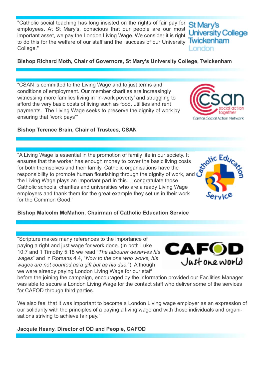"Catholic social teaching has long insisted on the rights of fair pay for employees. At St Mary's, conscious that our people are our most important asset, we pay the London Living Wage. We consider it is right to do this for the welfare of our staff and the success of our University Twickenham College."

**Bishop Richard Moth, Chair of Governors, St Mary's University College, Twickenham**

"CSAN is committed to the Living Wage and to just terms and conditions of employment. Our member charities are increasingly witnessing more families living in 'in-work poverty' and struggling to afford the very basic costs of living such as food, utilities and rent payments. The Living Wage seeks to preserve the dignity of work by ensuring that 'work pays'"

## **Bishop Terence Brain, Chair of Trustees, CSAN**

"A Living Wage is essential in the promotion of family life in our society. It ensures that the worker has enough money to cover the basic living costs for both themselves and their family. Catholic organisations have the responsibility to promote human flourishing through the dignity of work, and the Living Wage plays an important part in this. I congratulate those Catholic schools, charities and universities who are already Living Wage employers and thank them for the great example they set us in their work for the Common Good."

## **Bishop Malcolm McMahon, Chairman of Catholic Education Service**

"Scripture makes many references to the importance of paying a right and just wage for work done. (In both Luke 10:7 and 1 Timothy 5:18 we read "*The labourer deserves his wages*" and in Romans 4.4, "*Now to the one who works, his wages are not counted as a gift but as his due.*") Although we were already paying London Living Wage for our staff

before the joining the campaign, encouraged by the information provided our Facilities Manager was able to secure a London Living Wage for the contact staff who deliver some of the services for CAFOD through third parties.

We also feel that it was important to become a London Living wage employer as an expression of our solidarity with the principles of a paying a living wage and with those individuals and organisations striving to achieve fair pay."

## **Jacquie Heany, Director of OD and People, CAFOD**





**Moltic Educe** 

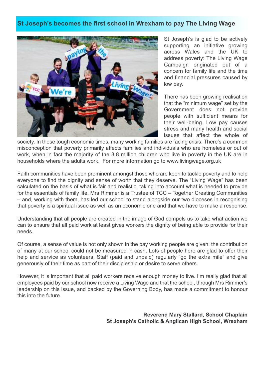# **St Joseph's becomes the first school in Wrexham to pay The Living Wage**



St Joseph's is glad to be actively supporting an initiative growing across Wales and the UK to address poverty: The Living Wage Campaign originated out of a concern for family life and the time and financial pressures caused by low pay.

There has been growing realisation that the "minimum wage" set by the Government does not provide people with sufficient means for their well-being. Low pay causes stress and many health and social issues that affect the whole of

society. In these tough economic times, many working families are facing crisis. There's a common misconception that poverty primarily affects families and individuals who are homeless or out of work, when in fact the majority of the 3.8 million children who live in poverty in the UK are in households where the adults work. For more information go to www.livingwage.org.uk

Faith communities have been prominent amongst those who are keen to tackle poverty and to help everyone to find the dignity and sense of worth that they deserve. The "Living Wage" has been calculated on the basis of what is fair and realistic, taking into account what is needed to provide for the essentials of family life. Mrs Rimmer is a Trustee of TCC – Together Creating Communities – and, working with them, has led our school to stand alongside our two dioceses in recognising that poverty is a spiritual issue as well as an economic one and that we have to make a response.

Understanding that all people are created in the image of God compels us to take what action we can to ensure that all paid work at least gives workers the dignity of being able to provide for their needs.

Of course, a sense of value is not only shown in the pay working people are given: the contribution of many at our school could not be measured in cash. Lots of people here are glad to offer their help and service as volunteers. Staff (paid and unpaid) regularly "go the extra mile" and give generously of their time as part of their discipleship or desire to serve others.

However, it is important that all paid workers receive enough money to live. I'm really glad that all employees paid by our school now receive a Living Wage and that the school, through Mrs Rimmer's leadership on this issue, and backed by the Governing Body, has made a commitment to honour this into the future.

> **Reverend Mary Stallard, School Chaplain St Joseph's Catholic & Anglican High School, Wrexham**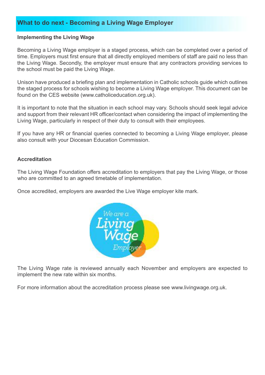# **What to do next - Becoming a Living Wage Employer**

#### **Implementing the Living Wage**

Becoming a Living Wage employer is a staged process, which can be completed over a period of time. Employers must first ensure that all directly employed members of staff are paid no less than the Living Wage. Secondly, the employer must ensure that any contractors providing services to the school must be paid the Living Wage.

Unison have produced a briefing plan and implementation in Catholic schools guide which outlines the staged process for schools wishing to become a Living Wage employer. This document can be found on the CES website (www.catholiceducation.org.uk).

It is important to note that the situation in each school may vary. Schools should seek legal advice and support from their relevant HR officer/contact when considering the impact of implementing the Living Wage, particularly in respect of their duty to consult with their employees.

If you have any HR or financial queries connected to becoming a Living Wage employer, please also consult with your Diocesan Education Commission.

#### **Accreditation**

The Living Wage Foundation offers accreditation to employers that pay the Living Wage, or those who are committed to an agreed timetable of implementation.

Once accredited, employers are awarded the Live Wage employer kite mark.



The Living Wage rate is reviewed annually each November and employers are expected to implement the new rate within six months.

For more information about the accreditation process please see www.livingwage.org.uk.